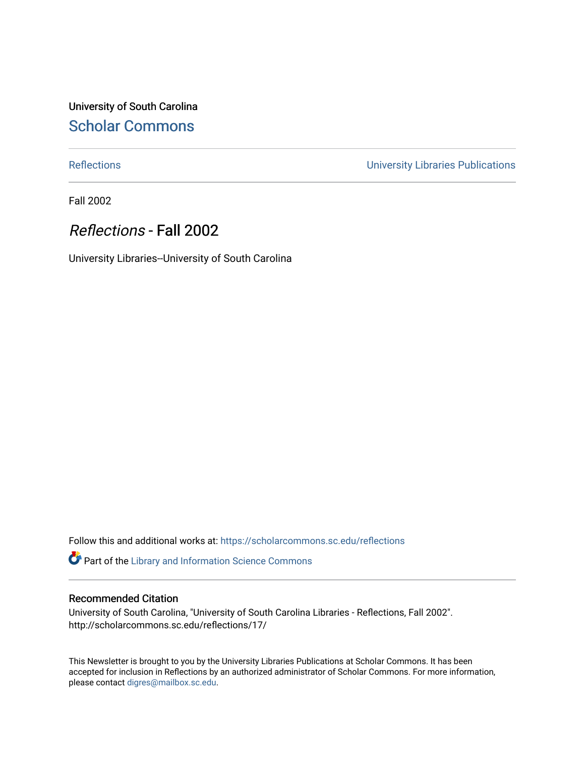University of South Carolina [Scholar Commons](https://scholarcommons.sc.edu/) 

[Reflections](https://scholarcommons.sc.edu/reflections) [University Libraries Publications](https://scholarcommons.sc.edu/lib_pubs) 

Fall 2002

### Reflections - Fall 2002

University Libraries--University of South Carolina

Follow this and additional works at: [https://scholarcommons.sc.edu/reflections](https://scholarcommons.sc.edu/reflections?utm_source=scholarcommons.sc.edu%2Freflections%2F17&utm_medium=PDF&utm_campaign=PDFCoverPages) 

Part of the [Library and Information Science Commons](http://network.bepress.com/hgg/discipline/1018?utm_source=scholarcommons.sc.edu%2Freflections%2F17&utm_medium=PDF&utm_campaign=PDFCoverPages) 

#### Recommended Citation

University of South Carolina, "University of South Carolina Libraries - Reflections, Fall 2002". http://scholarcommons.sc.edu/reflections/17/

This Newsletter is brought to you by the University Libraries Publications at Scholar Commons. It has been accepted for inclusion in Reflections by an authorized administrator of Scholar Commons. For more information, please contact [digres@mailbox.sc.edu](mailto:digres@mailbox.sc.edu).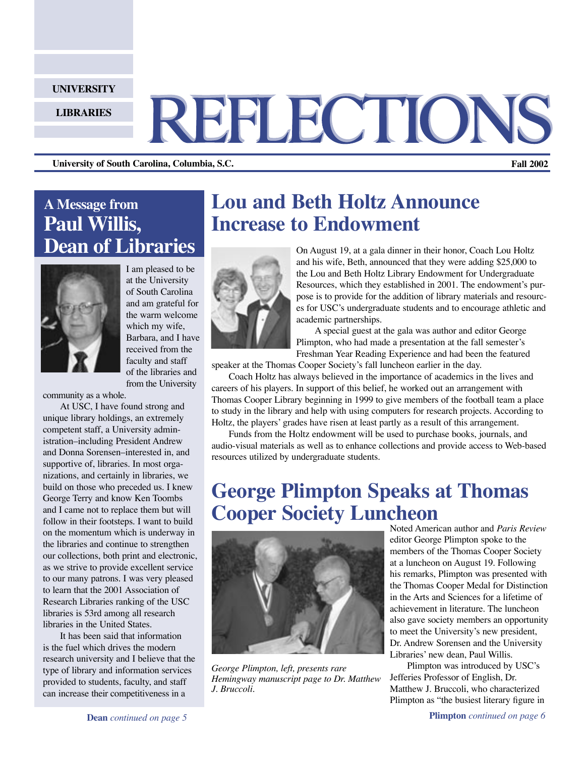#### **UNIVERSITY**

**LIBRARIES**

# REFLECTIONS

**University of South Carolina, Columbia, S.C. Fall 2002**

### **A Message from Paul Willis, Dean of Libraries**



I am pleased to be at the University of South Carolina and am grateful for the warm welcome which my wife, Barbara, and I have received from the faculty and staff of the libraries and from the University

community as a whole.

At USC, I have found strong and unique library holdings, an extremely competent staff, a University administration–including President Andrew and Donna Sorensen–interested in, and supportive of, libraries. In most organizations, and certainly in libraries, we build on those who preceded us. I knew George Terry and know Ken Toombs and I came not to replace them but will follow in their footsteps. I want to build on the momentum which is underway in the libraries and continue to strengthen our collections, both print and electronic, as we strive to provide excellent service to our many patrons. I was very pleased to learn that the 2001 Association of Research Libraries ranking of the USC libraries is 53rd among all research libraries in the United States.

It has been said that information is the fuel which drives the modern research university and I believe that the type of library and information services provided to students, faculty, and staff can increase their competitiveness in a

### **Lou and Beth Holtz Announce Increase to Endowment**



On August 19, at a gala dinner in their honor, Coach Lou Holtz and his wife, Beth, announced that they were adding \$25,000 to the Lou and Beth Holtz Library Endowment for Undergraduate Resources, which they established in 2001. The endowment's purpose is to provide for the addition of library materials and resources for USC's undergraduate students and to encourage athletic and academic partnerships.

 A special guest at the gala was author and editor George Plimpton, who had made a presentation at the fall semester's Freshman Year Reading Experience and had been the featured

speaker at the Thomas Cooper Society's fall luncheon earlier in the day.

Coach Holtz has always believed in the importance of academics in the lives and careers of his players. In support of this belief, he worked out an arrangement with Thomas Cooper Library beginning in 1999 to give members of the football team a place to study in the library and help with using computers for research projects. According to Holtz, the players' grades have risen at least partly as a result of this arrangement.

Funds from the Holtz endowment will be used to purchase books, journals, and audio-visual materials as well as to enhance collections and provide access to Web-based resources utilized by undergraduate students.

### **George Plimpton Speaks at Thomas Cooper Society Luncheon**



*George Plimpton, left, presents rare Hemingway manuscript page to Dr. Matthew J. Bruccoli.*

Noted American author and *Paris Review*  editor George Plimpton spoke to the members of the Thomas Cooper Society at a luncheon on August 19. Following his remarks, Plimpton was presented with the Thomas Cooper Medal for Distinction in the Arts and Sciences for a lifetime of achievement in literature. The luncheon also gave society members an opportunity to meet the University's new president, Dr. Andrew Sorensen and the University Libraries' new dean, Paul Willis.

Plimpton was introduced by USC's Jefferies Professor of English, Dr. Matthew J. Bruccoli, who characterized Plimpton as "the busiest literary figure in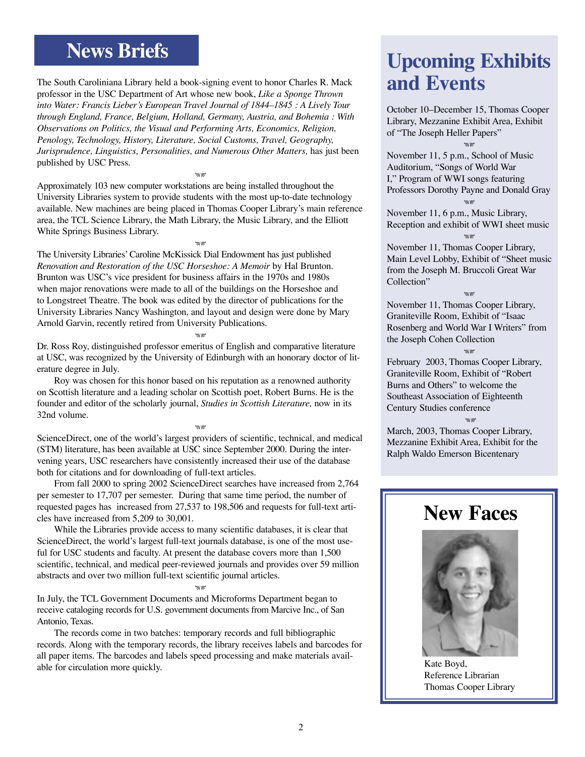### **News Briefs**

The South Caroliniana Library held a book-signing event to honor Charles R. Mack professor in the USC Department of Art whose new book, *Like a Sponge Thrown into Water: Francis Lieber's European Travel Journal of 1844–1845 : A Lively Tour through England, France, Belgium, Holland, Germany, Austria, and Bohemia : With Observations on Politics, the Visual and Performing Arts, Economics, Religion, Penology, Technology, History, Literature, Social Customs, Travel, Geography, Jurisprudence, Linguistics, Personalities, and Numerous Other Matters, has just been* published by USC Press.

Approximately 103 new computer workstations are being installed throughout the University Libraries system to provide students with the most up-to-date technology available. New machines are being placed in Thomas Cooper Library's main reference area, the TCL Science Library, the Math Library, the Music Library, and the Elliott White Springs Business Library.

**SIR** 

e<br>Min

The University Libraries' Caroline McKissick Dial Endowment has just published *Renovation and Restoration of the USC Horseshoe: A Memoir* by Hal Brunton. Brunton was USC's vice president for business affairs in the 1970s and 1980s when major renovations were made to all of the buildings on the Horseshoe and to Longstreet Theatre. The book was edited by the director of publications for the University Libraries Nancy Washington, and layout and design were done by Mary Arnold Garvin, recently retired from University Publications.

Dr. Ross Roy, distinguished professor emeritus of English and comparative literature at USC, was recognized by the University of Edinburgh with an honorary doctor of literature degree in July.

しょう

Roy was chosen for this honor based on his reputation as a renowned authority on Scottish literature and a leading scholar on Scottish poet, Robert Burns. He is the founder and editor of the scholarly journal, *Studies in Scottish Literature,* now in its 32nd volume.

ScienceDirect, one of the world's largest providers of scientific, technical, and medical (STM) literature, has been available at USC since September 2000. During the intervening years, USC researchers have consistently increased their use of the database both for citations and for downloading of full-text articles.

**AR** 

From fall 2000 to spring 2002 ScienceDirect searches have increased from 2,764 per semester to 17,707 per semester. During that same time period, the number of requested pages has increased from 27,537 to 198,506 and requests for full-text articles have increased from 5,209 to 30,001.

While the Libraries provide access to many scientific databases, it is clear that ScienceDirect, the world's largest full-text journals database, is one of the most useful for USC students and faculty. At present the database covers more than 1,500 scientific, technical, and medical peer-reviewed journals and provides over 59 million abstracts and over two million full-text scientific journal articles.

しょう

In July, the TCL Government Documents and Microforms Department began to receive cataloging records for U.S. government documents from Marcive Inc., of San Antonio, Texas.

The records come in two batches: temporary records and full bibliographic records. Along with the temporary records, the library receives labels and barcodes for all paper items. The barcodes and labels speed processing and make materials available for circulation more quickly.

# **Upcoming Exhibits and Events**

October 10–December 15, Thomas Cooper Library, Mezzanine Exhibit Area, Exhibit of "The Joseph Heller Papers" **AB** 

November 11, 5 p.m., School of Music Auditorium, "Songs of World War I," Program of WWI songs featuring Professors Dorothy Payne and Donald Gray .<br>MS

November 11, 6 p.m., Music Library, Reception and exhibit of WWI sheet music ar<br>A

November 11, Thomas Cooper Library, Main Level Lobby, Exhibit of "Sheet music from the Joseph M. Bruccoli Great War Collection"

**SIR** 

November 11, Thomas Cooper Library, Graniteville Room, Exhibit of "Isaac Rosenberg and World War I Writers" from the Joseph Cohen Collection ar<br>A

February 2003, Thomas Cooper Library, Graniteville Room, Exhibit of "Robert Burns and Others" to welcome the Southeast Association of Eighteenth Century Studies conference .<br>Me

March, 2003, Thomas Cooper Library, Mezzanine Exhibit Area, Exhibit for the Ralph Waldo Emerson Bicentenary

### **New Faces**



Kate Boyd, Reference Librarian Thomas Cooper Library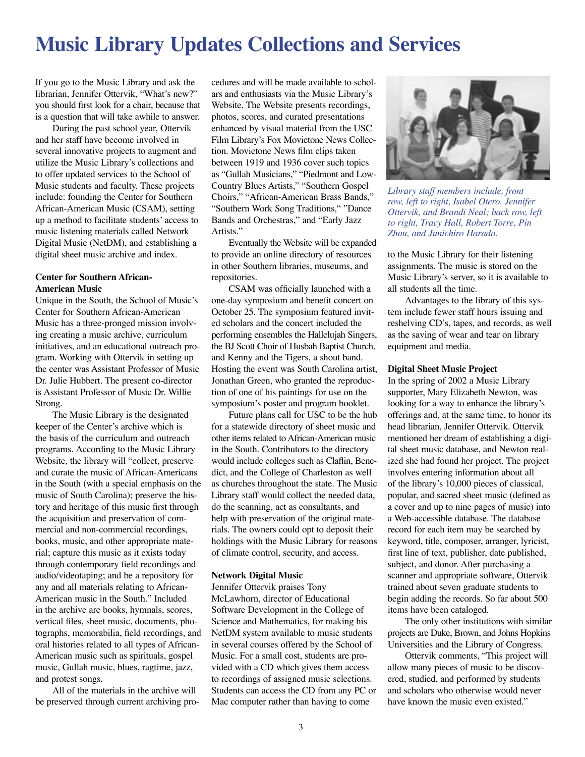### **Music Library Updates Collections and Services**

If you go to the Music Library and ask the librarian, Jennifer Ottervik, "What's new?" you should first look for a chair, because that is a question that will take awhile to answer.

During the past school year, Ottervik and her staff have become involved in several innovative projects to augment and utilize the Music Library's collections and to offer updated services to the School of Music students and faculty. These projects include: founding the Center for Southern African-American Music (CSAM), setting up a method to facilitate students' access to music listening materials called Network Digital Music (NetDM), and establishing a digital sheet music archive and index.

#### **Center for Southern African-American Music**

Unique in the South, the School of Music's Center for Southern African-American Music has a three-pronged mission involving creating a music archive, curriculum initiatives, and an educational outreach program. Working with Ottervik in setting up the center was Assistant Professor of Music Dr. Julie Hubbert. The present co-director is Assistant Professor of Music Dr. Willie Strong.

The Music Library is the designated keeper of the Center's archive which is the basis of the curriculum and outreach programs. According to the Music Library Website, the library will "collect, preserve and curate the music of African-Americans in the South (with a special emphasis on the music of South Carolina); preserve the history and heritage of this music first through the acquisition and preservation of commercial and non-commercial recordings, books, music, and other appropriate material; capture this music as it exists today through contemporary field recordings and audio/videotaping; and be a repository for any and all materials relating to African-American music in the South." Included in the archive are books, hymnals, scores, vertical files, sheet music, documents, photographs, memorabilia, field recordings, and oral histories related to all types of African-American music such as spirituals, gospel music, Gullah music, blues, ragtime, jazz, and protest songs.

All of the materials in the archive will be preserved through current archiving procedures and will be made available to scholars and enthusiasts via the Music Library's Website. The Website presents recordings, photos, scores, and curated presentations enhanced by visual material from the USC Film Library's Fox Movietone News Collection. Movietone News film clips taken between 1919 and 1936 cover such topics as "Gullah Musicians," "Piedmont and Low-Country Blues Artists," "Southern Gospel Choirs," "African-American Brass Bands," "Southern Work Song Traditions," "Dance Bands and Orchestras," and "Early Jazz Artists."

Eventually the Website will be expanded to provide an online directory of resources in other Southern libraries, museums, and repositories.

CSAM was officially launched with a one-day symposium and benefit concert on October 25. The symposium featured invited scholars and the concert included the performing ensembles the Hallelujah Singers, the BJ Scott Choir of Husbah Baptist Church, and Kenny and the Tigers, a shout band. Hosting the event was South Carolina artist, Jonathan Green, who granted the reproduction of one of his paintings for use on the symposium's poster and program booklet.

Future plans call for USC to be the hub for a statewide directory of sheet music and other items related to African-American music in the South. Contributors to the directory would include colleges such as Claflin, Benedict, and the College of Charleston as well as churches throughout the state. The Music Library staff would collect the needed data, do the scanning, act as consultants, and help with preservation of the original materials. The owners could opt to deposit their holdings with the Music Library for reasons of climate control, security, and access.

#### **Network Digital Music**

Jennifer Ottervik praises Tony McLawhorn, director of Educational Software Development in the College of Science and Mathematics, for making his NetDM system available to music students in several courses offered by the School of Music. For a small cost, students are provided with a CD which gives them access to recordings of assigned music selections. Students can access the CD from any PC or Mac computer rather than having to come



*Library staff members include, front row, left to right, Isabel Otero, Jennifer Ottervik, and Brandi Neal; back row, left to right, Tracy Hall, Robert Torre, Pin Zhou, and Junichiro Harada.*

to the Music Library for their listening assignments. The music is stored on the Music Library's server, so it is available to all students all the time.

Advantages to the library of this system include fewer staff hours issuing and reshelving CD's, tapes, and records, as well as the saving of wear and tear on library equipment and media.

#### **Digital Sheet Music Project**

In the spring of 2002 a Music Library supporter, Mary Elizabeth Newton, was looking for a way to enhance the library's offerings and, at the same time, to honor its head librarian, Jennifer Ottervik. Ottervik mentioned her dream of establishing a digital sheet music database, and Newton realized she had found her project. The project involves entering information about all of the library's 10,000 pieces of classical, popular, and sacred sheet music (defined as a cover and up to nine pages of music) into a Web-accessible database. The database record for each item may be searched by keyword, title, composer, arranger, lyricist, first line of text, publisher, date published, subject, and donor. After purchasing a scanner and appropriate software, Ottervik trained about seven graduate students to begin adding the records. So far about 500 items have been cataloged.

The only other institutions with similar projects are Duke, Brown, and Johns Hopkins Universities and the Library of Congress.

Ottervik comments, "This project will allow many pieces of music to be discovered, studied, and performed by students and scholars who otherwise would never have known the music even existed."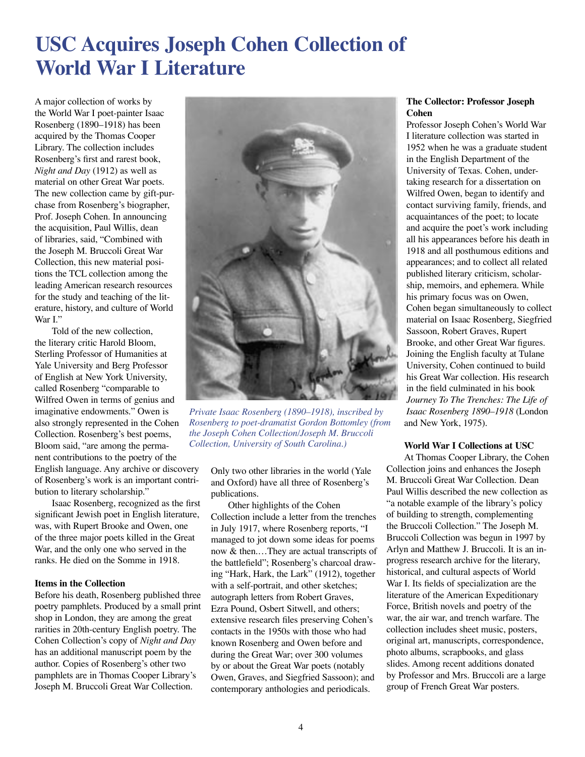# **USC Acquires Joseph Cohen Collection of World War I Literature**

A major collection of works by the World War I poet-painter Isaac Rosenberg (1890–1918) has been acquired by the Thomas Cooper Library. The collection includes Rosenberg's first and rarest book, *Night and Day* (1912) as well as material on other Great War poets. The new collection came by gift-purchase from Rosenberg's biographer, Prof. Joseph Cohen. In announcing the acquisition, Paul Willis, dean of libraries, said, "Combined with the Joseph M. Bruccoli Great War Collection, this new material positions the TCL collection among the leading American research resources for the study and teaching of the literature, history, and culture of World War I"

Told of the new collection, the literary critic Harold Bloom, Sterling Professor of Humanities at Yale University and Berg Professor of English at New York University, called Rosenberg "comparable to Wilfred Owen in terms of genius and imaginative endowments." Owen is also strongly represented in the Cohen Collection. Rosenberg's best poems, Bloom said, "are among the permanent contributions to the poetry of the English language. Any archive or discovery of Rosenberg's work is an important contribution to literary scholarship."

Isaac Rosenberg, recognized as the first significant Jewish poet in English literature, was, with Rupert Brooke and Owen, one of the three major poets killed in the Great War, and the only one who served in the ranks. He died on the Somme in 1918.

#### **Items in the Collection**

Before his death, Rosenberg published three poetry pamphlets. Produced by a small print shop in London, they are among the great rarities in 20th-century English poetry. The Cohen Collection's copy of *Night and Day* has an additional manuscript poem by the author. Copies of Rosenberg's other two pamphlets are in Thomas Cooper Library's Joseph M. Bruccoli Great War Collection.



*Private Isaac Rosenberg (1890–1918), inscribed by Rosenberg to poet-dramatist Gordon Bottomley (from the Joseph Cohen Collection/Joseph M. Bruccoli Collection, University of South Carolina.)*

Only two other libraries in the world (Yale and Oxford) have all three of Rosenberg's publications.

Other highlights of the Cohen Collection include a letter from the trenches in July 1917, where Rosenberg reports, "I managed to jot down some ideas for poems now & then.…They are actual transcripts of the battlefield"; Rosenberg's charcoal drawing "Hark, Hark, the Lark" (1912), together with a self-portrait, and other sketches; autograph letters from Robert Graves, Ezra Pound, Osbert Sitwell, and others; extensive research files preserving Cohen's contacts in the 1950s with those who had known Rosenberg and Owen before and during the Great War; over 300 volumes by or about the Great War poets (notably Owen, Graves, and Siegfried Sassoon); and contemporary anthologies and periodicals.

#### **The Collector: Professor Joseph Cohen**

Professor Joseph Cohen's World War I literature collection was started in 1952 when he was a graduate student in the English Department of the University of Texas. Cohen, undertaking research for a dissertation on Wilfred Owen, began to identify and contact surviving family, friends, and acquaintances of the poet; to locate and acquire the poet's work including all his appearances before his death in 1918 and all posthumous editions and appearances; and to collect all related published literary criticism, scholarship, memoirs, and ephemera. While his primary focus was on Owen, Cohen began simultaneously to collect material on Isaac Rosenberg, Siegfried Sassoon, Robert Graves, Rupert Brooke, and other Great War figures. Joining the English faculty at Tulane University, Cohen continued to build his Great War collection. His research in the field culminated in his book *Journey To The Trenches: The Life of Isaac Rosenberg 1890–1918* (London and New York, 1975).

#### **World War I Collections at USC**

At Thomas Cooper Library, the Cohen Collection joins and enhances the Joseph M. Bruccoli Great War Collection. Dean Paul Willis described the new collection as "a notable example of the library's policy of building to strength, complementing the Bruccoli Collection." The Joseph M. Bruccoli Collection was begun in 1997 by Arlyn and Matthew J*.* Bruccoli. It is an inprogress research archive for the literary, historical, and cultural aspects of World War I. Its fields of specialization are the literature of the American Expeditionary Force, British novels and poetry of the war, the air war, and trench warfare. The collection includes sheet music, posters, original art, manuscripts, correspondence, photo albums, scrapbooks, and glass slides. Among recent additions donated by Professor and Mrs. Bruccoli are a large group of French Great War posters.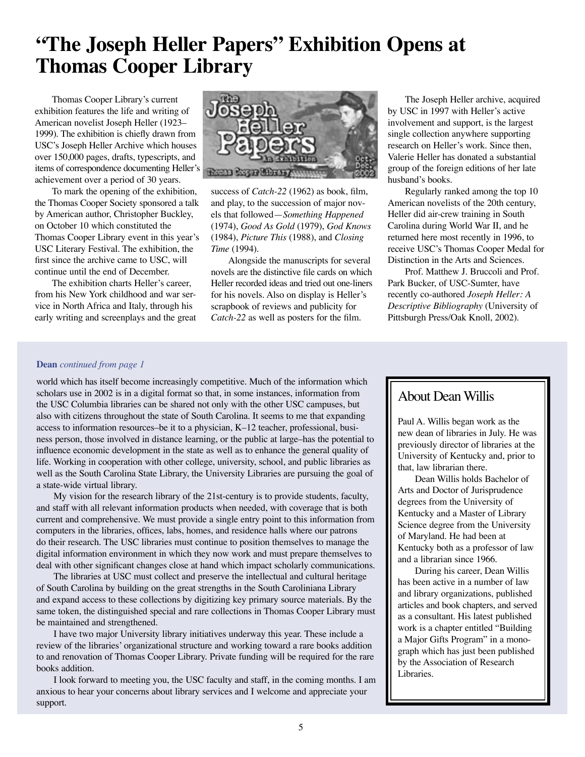## **"The Joseph Heller Papers" Exhibition Opens at Thomas Cooper Library**

Thomas Cooper Library's current exhibition features the life and writing of American novelist Joseph Heller (1923– 1999). The exhibition is chiefly drawn from USC's Joseph Heller Archive which houses over 150,000 pages, drafts, typescripts, and items of correspondence documenting Heller's achievement over a period of 30 years.

To mark the opening of the exhibition, the Thomas Cooper Society sponsored a talk by American author, Christopher Buckley, on October 10 which constituted the Thomas Cooper Library event in this year's USC Literary Festival. The exhibition, the first since the archive came to USC, will continue until the end of December.

The exhibition charts Heller's career, from his New York childhood and war service in North Africa and Italy, through his early writing and screenplays and the great



success of *Catch-22* (1962) as book, film, and play, to the succession of major novels that followed—*Something Happened*  (1974), *Good As Gold* (1979), *God Knows*  (1984), *Picture This* (1988), and *Closing Time* (1994).

Alongside the manuscripts for several novels are the distinctive file cards on which Heller recorded ideas and tried out one-liners for his novels. Also on display is Heller's scrapbook of reviews and publicity for *Catch-22* as well as posters for the film.

The Joseph Heller archive, acquired by USC in 1997 with Heller's active involvement and support, is the largest single collection anywhere supporting research on Heller's work. Since then, Valerie Heller has donated a substantial group of the foreign editions of her late husband's books.

Regularly ranked among the top 10 American novelists of the 20th century, Heller did air-crew training in South Carolina during World War II, and he returned here most recently in 1996, to receive USC's Thomas Cooper Medal for Distinction in the Arts and Sciences.

Prof. Matthew J. Bruccoli and Prof. Park Bucker, of USC-Sumter, have recently co-authored *Joseph Heller: A Descriptive Bibliography* (University of Pittsburgh Press/Oak Knoll, 2002).

#### **Dean** *continued from page 1*

world which has itself become increasingly competitive. Much of the information which scholars use in 2002 is in a digital format so that, in some instances, information from the USC Columbia libraries can be shared not only with the other USC campuses, but also with citizens throughout the state of South Carolina. It seems to me that expanding access to information resources–be it to a physician, K–12 teacher, professional, business person, those involved in distance learning, or the public at large–has the potential to influence economic development in the state as well as to enhance the general quality of life. Working in cooperation with other college, university, school, and public libraries as well as the South Carolina State Library, the University Libraries are pursuing the goal of a state-wide virtual library.

My vision for the research library of the 21st-century is to provide students, faculty, and staff with all relevant information products when needed, with coverage that is both current and comprehensive. We must provide a single entry point to this information from computers in the libraries, offices, labs, homes, and residence halls where our patrons do their research. The USC libraries must continue to position themselves to manage the digital information environment in which they now work and must prepare themselves to deal with other significant changes close at hand which impact scholarly communications.

The libraries at USC must collect and preserve the intellectual and cultural heritage of South Carolina by building on the great strengths in the South Caroliniana Library and expand access to these collections by digitizing key primary source materials. By the same token, the distinguished special and rare collections in Thomas Cooper Library must be maintained and strengthened.

I have two major University library initiatives underway this year. These include a review of the libraries' organizational structure and working toward a rare books addition to and renovation of Thomas Cooper Library. Private funding will be required for the rare books addition.

I look forward to meeting you, the USC faculty and staff, in the coming months. I am anxious to hear your concerns about library services and I welcome and appreciate your support.

### About Dean Willis

Paul A. Willis began work as the new dean of libraries in July. He was previously director of libraries at the University of Kentucky and, prior to that, law librarian there.

Dean Willis holds Bachelor of Arts and Doctor of Jurisprudence degrees from the University of Kentucky and a Master of Library Science degree from the University of Maryland. He had been at Kentucky both as a professor of law and a librarian since 1966.

During his career, Dean Willis has been active in a number of law and library organizations, published articles and book chapters, and served as a consultant. His latest published work is a chapter entitled "Building a Major Gifts Program" in a monograph which has just been published by the Association of Research Libraries.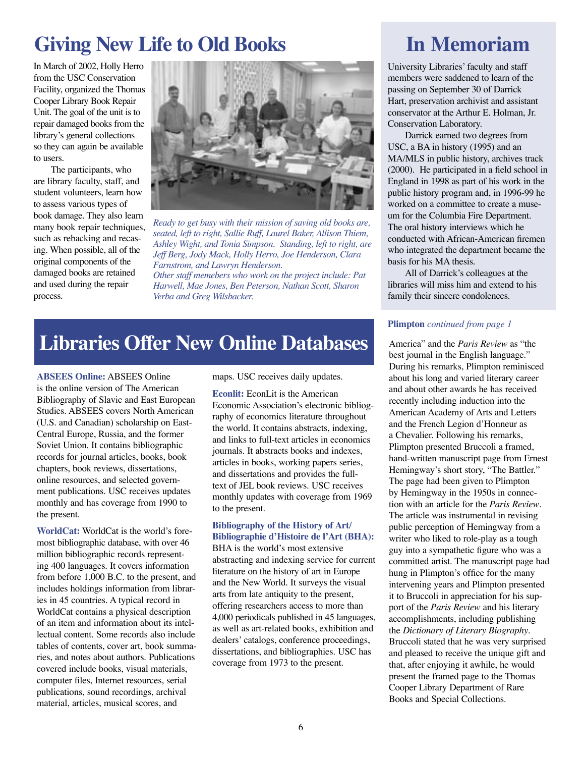# **Giving New Life to Old Books**

In March of 2002, Holly Herro from the USC Conservation Facility, organized the Thomas Cooper Library Book Repair Unit. The goal of the unit is to repair damaged books from the library's general collections so they can again be available to users.

The participants, who are library faculty, staff, and student volunteers, learn how to assess various types of book damage. They also learn many book repair techniques, such as rebacking and recasing. When possible, all of the original components of the damaged books are retained and used during the repair process.



*Ready to get busy with their mission of saving old books are, seated, left to right, Sallie Ruff, Laurel Baker, Allison Thiem, Ashley Wight, and Tonia Simpson. Standing, left to right, are Jeff Berg, Jody Mack, Holly Herro, Joe Henderson, Clara Farnstrom, and Lawryn Henderson.* 

*Other staff memebers who work on the project include: Pat Harwell, Mae Jones, Ben Peterson, Nathan Scott, Sharon Verba and Greg Wilsbacker.* 

### Libraries Offer New Online Databases **America"** and the *Paris Review* as "the

**ABSEES Online:** ABSEES Online is the online version of The American Bibliography of Slavic and East European Studies. ABSEES covers North American (U.S. and Canadian) scholarship on East-Central Europe, Russia, and the former Soviet Union. It contains bibliographic records for journal articles, books, book chapters, book reviews, dissertations, online resources, and selected government publications. USC receives updates monthly and has coverage from 1990 to the present.

**WorldCat:** WorldCat is the world's foremost bibliographic database, with over 46 million bibliographic records representing 400 languages. It covers information from before 1,000 B.C. to the present, and includes holdings information from libraries in 45 countries. A typical record in WorldCat contains a physical description of an item and information about its intellectual content. Some records also include tables of contents, cover art, book summaries, and notes about authors. Publications covered include books, visual materials, computer files, Internet resources, serial publications, sound recordings, archival material, articles, musical scores, and

maps. USC receives daily updates.

**Econlit:** EconLit is the American Economic Association's electronic bibliography of economics literature throughout the world. It contains abstracts, indexing, and links to full-text articles in economics journals. It abstracts books and indexes, articles in books, working papers series, and dissertations and provides the fulltext of JEL book reviews. USC receives monthly updates with coverage from 1969 to the present.

#### **Bibliography of the History of Art/ Bibliographie d'Histoire de l'Art (BHA):**

BHA is the world's most extensive abstracting and indexing service for current literature on the history of art in Europe and the New World. It surveys the visual arts from late antiquity to the present, offering researchers access to more than 4,000 periodicals published in 45 languages, as well as art-related books, exhibition and dealers' catalogs, conference proceedings, dissertations, and bibliographies. USC has coverage from 1973 to the present.

# **In Memoriam**

University Libraries' faculty and staff members were saddened to learn of the passing on September 30 of Darrick Hart, preservation archivist and assistant conservator at the Arthur E. Holman, Jr. Conservation Laboratory.

Darrick earned two degrees from USC, a BA in history (1995) and an MA/MLS in public history, archives track (2000). He participated in a field school in England in 1998 as part of his work in the public history program and, in 1996-99 he worked on a committee to create a museum for the Columbia Fire Department. The oral history interviews which he conducted with African-American firemen who integrated the department became the basis for his MA thesis.

All of Darrick's colleagues at the libraries will miss him and extend to his family their sincere condolences.

#### **Plimpton** *continued from page 1*

best journal in the English language." During his remarks, Plimpton reminisced about his long and varied literary career and about other awards he has received recently including induction into the American Academy of Arts and Letters and the French Legion d'Honneur as a Chevalier. Following his remarks, Plimpton presented Bruccoli a framed, hand-written manuscript page from Ernest Hemingway's short story, "The Battler." The page had been given to Plimpton by Hemingway in the 1950s in connection with an article for the *Paris Review*. The article was instrumental in revising public perception of Hemingway from a writer who liked to role-play as a tough guy into a sympathetic figure who was a committed artist. The manuscript page had hung in Plimpton's office for the many intervening years and Plimpton presented it to Bruccoli in appreciation for his support of the *Paris Review* and his literary accomplishments, including publishing the *Dictionary of Literary Biography*. Bruccoli stated that he was very surprised and pleased to receive the unique gift and that, after enjoying it awhile, he would present the framed page to the Thomas Cooper Library Department of Rare Books and Special Collections.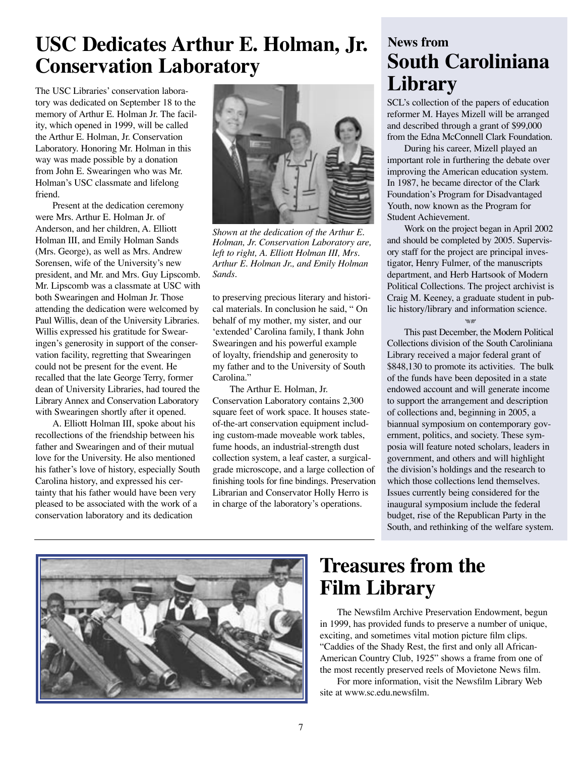# **USC Dedicates Arthur E. Holman, Jr. Conservation Laboratory**

The USC Libraries' conservation laboratory was dedicated on September 18 to the memory of Arthur E. Holman Jr. The facility, which opened in 1999, will be called the Arthur E. Holman, Jr. Conservation Laboratory. Honoring Mr. Holman in this way was made possible by a donation from John E. Swearingen who was Mr. Holman's USC classmate and lifelong friend.

Present at the dedication ceremony were Mrs. Arthur E. Holman Jr. of Anderson, and her children, A. Elliott Holman III, and Emily Holman Sands (Mrs. George), as well as Mrs. Andrew Sorensen, wife of the University's new president, and Mr. and Mrs. Guy Lipscomb. Mr. Lipscomb was a classmate at USC with both Swearingen and Holman Jr. Those attending the dedication were welcomed by Paul Willis, dean of the University Libraries. Willis expressed his gratitude for Swearingen's generosity in support of the conservation facility, regretting that Swearingen could not be present for the event. He recalled that the late George Terry, former dean of University Libraries, had toured the Library Annex and Conservation Laboratory with Swearingen shortly after it opened.

A. Elliott Holman III, spoke about his recollections of the friendship between his father and Swearingen and of their mutual love for the University. He also mentioned his father's love of history, especially South Carolina history, and expressed his certainty that his father would have been very pleased to be associated with the work of a conservation laboratory and its dedication



*Shown at the dedication of the Arthur E. Holman, Jr. Conservation Laboratory are, left to right, A. Elliott Holman III, Mrs. Arthur E. Holman Jr., and Emily Holman Sands.*

to preserving precious literary and historical materials. In conclusion he said, " On behalf of my mother, my sister, and our 'extended' Carolina family, I thank John Swearingen and his powerful example of loyalty, friendship and generosity to my father and to the University of South Carolina."

The Arthur E. Holman, Jr. Conservation Laboratory contains 2,300 square feet of work space. It houses stateof-the-art conservation equipment including custom-made moveable work tables, fume hoods, an industrial-strength dust collection system, a leaf caster, a surgicalgrade microscope, and a large collection of finishing tools for fine bindings. Preservation Librarian and Conservator Holly Herro is in charge of the laboratory's operations.

### **News from South Caroliniana Library**

SCL's collection of the papers of education reformer M. Hayes Mizell will be arranged and described through a grant of \$99,000 from the Edna McConnell Clark Foundation.

During his career, Mizell played an important role in furthering the debate over improving the American education system. In 1987, he became director of the Clark Foundation's Program for Disadvantaged Youth, now known as the Program for Student Achievement.

Work on the project began in April 2002 and should be completed by 2005. Supervisory staff for the project are principal investigator, Henry Fulmer, of the manuscripts department, and Herb Hartsook of Modern Political Collections. The project archivist is Craig M. Keeney, a graduate student in public history/library and information science.

#### পার্চ

This past December, the Modern Political Collections division of the South Caroliniana Library received a major federal grant of \$848,130 to promote its activities. The bulk of the funds have been deposited in a state endowed account and will generate income to support the arrangement and description of collections and, beginning in 2005, a biannual symposium on contemporary government, politics, and society. These symposia will feature noted scholars, leaders in government, and others and will highlight the division's holdings and the research to which those collections lend themselves. Issues currently being considered for the inaugural symposium include the federal budget, rise of the Republican Party in the South, and rethinking of the welfare system.



# **Treasures from the Film Library**

The Newsfilm Archive Preservation Endowment, begun in 1999, has provided funds to preserve a number of unique, exciting, and sometimes vital motion picture film clips. "Caddies of the Shady Rest, the first and only all African-American Country Club, 1925" shows a frame from one of the most recently preserved reels of Movietone News film.

For more information, visit the Newsfilm Library Web site at www.sc.edu.newsfilm.